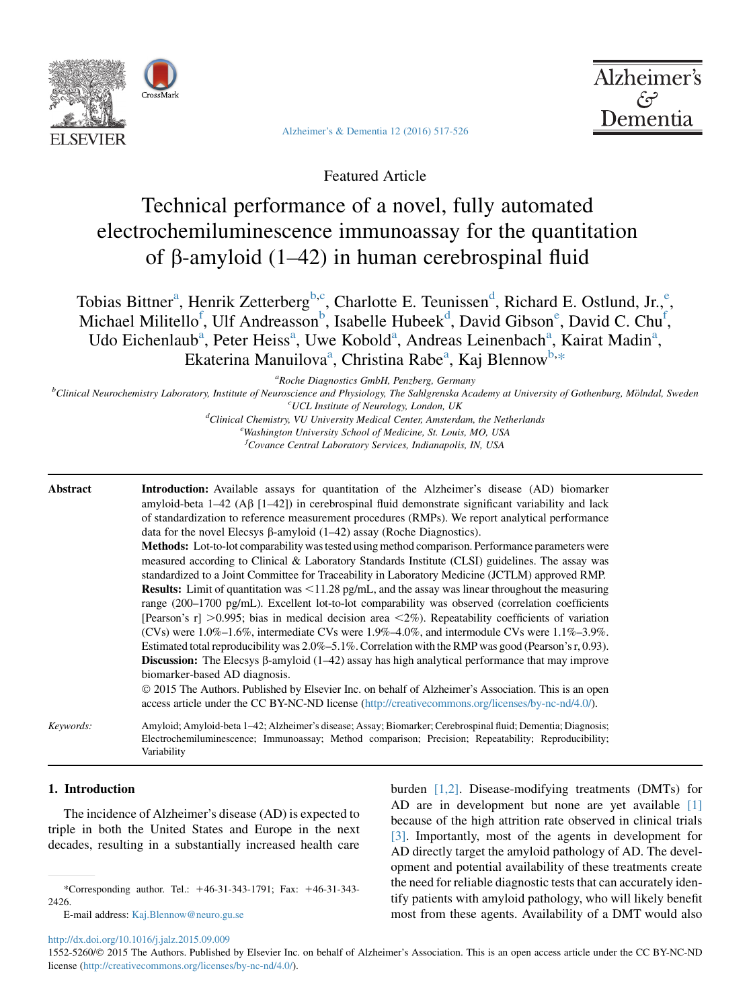

[Alzheimer's & Dementia 12 \(2016\) 517-526](http://dx.doi.org/10.1016/j.jalz.2015.09.009)



Featured Article

# Technical performance of a novel, fully automated electrochemiluminescence immunoassay for the quantitation of  $\beta$ -amyloid (1–42) in human cerebrospinal fluid

Tobias Bittner<sup>a</sup>, Henrik Zetterberg<sup>b,c</sup>, Charlotte E. Teunissen<sup>d</sup>, Richard E. Ostlund, Jr.,<sup>e</sup>, Michael Militello<sup>f</sup>, Ulf Andreasson<sup>b</sup>, Isabelle Hubeek<sup>d</sup>, David Gibson<sup>e</sup>, David C. Chu<sup>f</sup>, Udo Eichenlaub<sup>a</sup>, Peter Heiss<sup>a</sup>, Uwe Kobold<sup>a</sup>, Andreas Leinenbach<sup>a</sup>, Kairat Madin<sup>a</sup>, Ekaterina Manuilova<sup>a</sup>, Christina Rabe<sup>a</sup>, Kaj Blennow<sup>b,\*</sup>

<sup>a</sup>Roche Diagnostics GmbH, Penzberg, Germany

Roche Diagnostics GmbH, Penzberg, Germany<br>Polinical Neurochemistry Laboratory Institute of Neuroscience and Physiology The Sablaranska Ace Clinical Neurochemistry Laboratory, Institute of Neuroscience and Physiology, The Sahlgrenska Academy at University of Gothenburg, Mölndal, Sweden current condition of Neurology, The Sahlgrenska Academy at University of Go

 $^{c}$ UCL Institute of Neurology, London, UK $^{d}$ Clinical Chamietin, VII University Medical Center Ameterd Clinical Chemistry, VU University Medical Center, Amsterdam, the Netherlands <sup>e</sup> Washington University School of Medicine, St. Louis, MO, USA

<sup>f</sup>Covance Central Laboratory Services, Indianapolis, IN, USA

| Abstract  | <b>Introduction:</b> Available assays for quantitation of the Alzheimer's disease (AD) biomarker<br>amyloid-beta $1-42$ (A $\beta$ [1-42]) in cerebrospinal fluid demonstrate significant variability and lack<br>of standardization to reference measurement procedures (RMPs). We report analytical performance<br>data for the novel Elecsys $\beta$ -amyloid (1–42) assay (Roche Diagnostics).<br><b>Methods:</b> Lot-to-lot comparability was tested using method comparison. Performance parameters were<br>measured according to Clinical & Laboratory Standards Institute (CLSI) guidelines. The assay was<br>standardized to a Joint Committee for Traceability in Laboratory Medicine (JCTLM) approved RMP.                  |
|-----------|----------------------------------------------------------------------------------------------------------------------------------------------------------------------------------------------------------------------------------------------------------------------------------------------------------------------------------------------------------------------------------------------------------------------------------------------------------------------------------------------------------------------------------------------------------------------------------------------------------------------------------------------------------------------------------------------------------------------------------------|
|           | <b>Results:</b> Limit of quantitation was $\leq$ 11.28 pg/mL, and the assay was linear throughout the measuring<br>range (200–1700 pg/mL). Excellent lot-to-lot comparability was observed (correlation coefficients<br>[Pearson's r] >0.995; bias in medical decision area $\langle 2\% \rangle$ . Repeatability coefficients of variation<br>(CVs) were $1.0\%$ – $1.6\%$ , intermediate CVs were $1.9\%$ – $4.0\%$ , and intermodule CVs were $1.1\%$ – $3.9\%$ .<br>Estimated total reproducibility was $2.0\% - 5.1\%$ . Correlation with the RMP was good (Pearson's r, 0.93).<br><b>Discussion:</b> The Elecsys $\beta$ -amyloid (1–42) assay has high analytical performance that may improve<br>biomarker-based AD diagnosis. |
|           | © 2015 The Authors. Published by Elsevier Inc. on behalf of Alzheimer's Association. This is an open<br>access article under the CC BY-NC-ND license (http://creativecommons.org/licenses/by-nc-nd/4.0/).                                                                                                                                                                                                                                                                                                                                                                                                                                                                                                                              |
| Keywords: | Amyloid; Amyloid-beta 1–42; Alzheimer's disease; Assay; Biomarker; Cerebrospinal fluid; Dementia; Diagnosis;<br>Electrochemiluminescence; Immunoassay; Method comparison; Precision; Repeatability; Reproducibility;<br>Variability                                                                                                                                                                                                                                                                                                                                                                                                                                                                                                    |

## 1. Introduction

The incidence of Alzheimer's disease (AD) is expected to triple in both the United States and Europe in the next decades, resulting in a substantially increased health care

E-mail address: [Kaj.Blennow@neuro.gu.se](mailto:Kaj.Blennow@neuro.gu.se)

burden [\[1,2\]](#page-8-0). Disease-modifying treatments (DMTs) for AD are in development but none are yet available [\[1\]](#page-8-0) because of the high attrition rate observed in clinical trials [\[3\].](#page-8-0) Importantly, most of the agents in development for AD directly target the amyloid pathology of AD. The development and potential availability of these treatments create the need for reliable diagnostic tests that can accurately identify patients with amyloid pathology, who will likely benefit most from these agents. Availability of a DMT would also

<http://dx.doi.org/10.1016/j.jalz.2015.09.009>

<sup>\*</sup>Corresponding author. Tel.: 146-31-343-1791; Fax: 146-31-343- 2426.

<sup>1552-5260/© 2015</sup> The Authors. Published by Elsevier Inc. on behalf of Alzheimer's Association. This is an open access article under the CC BY-NC-ND license ([http://creativecommons.org/licenses/by-nc-nd/4.0/\)](http://creativecommons.org/licenses/by-nc-nd/4.0/).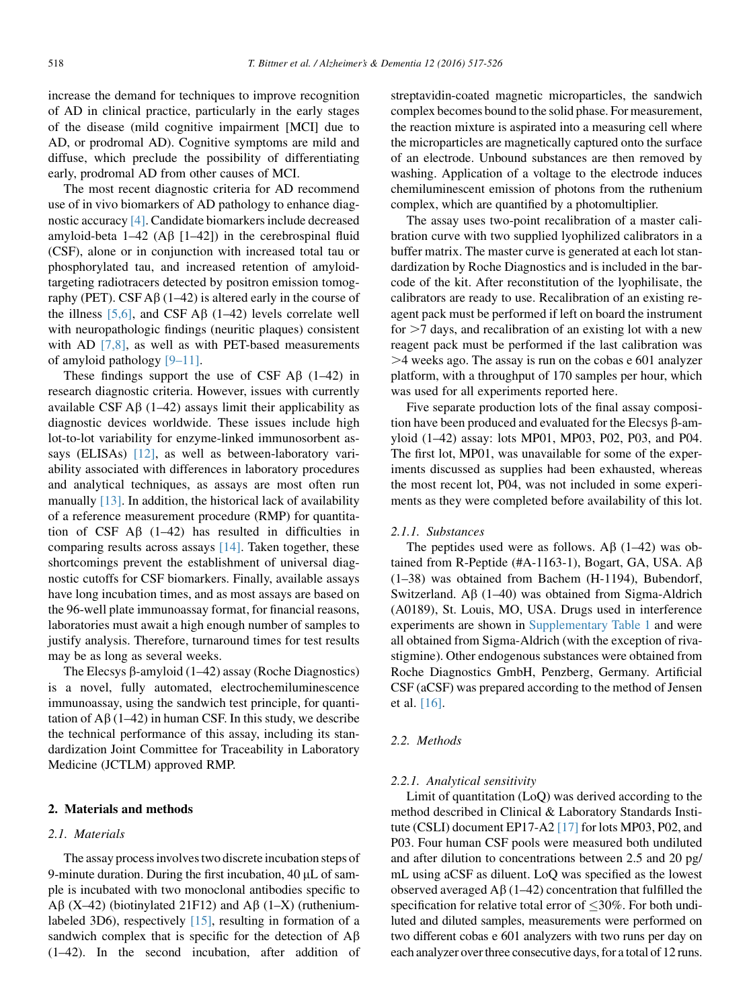increase the demand for techniques to improve recognition of AD in clinical practice, particularly in the early stages of the disease (mild cognitive impairment [MCI] due to AD, or prodromal AD). Cognitive symptoms are mild and diffuse, which preclude the possibility of differentiating early, prodromal AD from other causes of MCI.

The most recent diagnostic criteria for AD recommend use of in vivo biomarkers of AD pathology to enhance diagnostic accuracy [\[4\].](#page-8-0) Candidate biomarkers include decreased amyloid-beta  $1-42$  (A $\beta$  [1-42]) in the cerebrospinal fluid (CSF), alone or in conjunction with increased total tau or phosphorylated tau, and increased retention of amyloidtargeting radiotracers detected by positron emission tomography (PET). CSF A $\beta$  (1–42) is altered early in the course of the illness [\[5,6\]](#page-8-0), and CSF  $\mathbf{A}\beta$  (1–42) levels correlate well with neuropathologic findings (neuritic plaques) consistent with AD [\[7,8\],](#page-8-0) as well as with PET-based measurements of amyloid pathology [\[9–11\]](#page-8-0).

These findings support the use of CSF  $\mathbf{A}\beta$  (1–42) in research diagnostic criteria. However, issues with currently available CSF  $\mathbf{A}\beta$  (1–42) assays limit their applicability as diagnostic devices worldwide. These issues include high lot-to-lot variability for enzyme-linked immunosorbent assays (ELISAs) [\[12\]](#page-8-0), as well as between-laboratory variability associated with differences in laboratory procedures and analytical techniques, as assays are most often run manually [\[13\]](#page-8-0). In addition, the historical lack of availability of a reference measurement procedure (RMP) for quantitation of CSF  $\overrightarrow{AB}$  (1–42) has resulted in difficulties in comparing results across assays [\[14\].](#page-8-0) Taken together, these shortcomings prevent the establishment of universal diagnostic cutoffs for CSF biomarkers. Finally, available assays have long incubation times, and as most assays are based on the 96-well plate immunoassay format, for financial reasons, laboratories must await a high enough number of samples to justify analysis. Therefore, turnaround times for test results may be as long as several weeks.

The Elecsys  $\beta$ -amyloid (1–42) assay (Roche Diagnostics) is a novel, fully automated, electrochemiluminescence immunoassay, using the sandwich test principle, for quantitation of  $\overrightarrow{AB}$  (1–42) in human CSF. In this study, we describe the technical performance of this assay, including its standardization Joint Committee for Traceability in Laboratory Medicine (JCTLM) approved RMP.

## 2. Materials and methods

## 2.1. Materials

The assay process involves two discrete incubation steps of 9-minute duration. During the first incubation,  $40 \mu L$  of sample is incubated with two monoclonal antibodies specific to A $\beta$  (X-42) (biotinylated 21F12) and A $\beta$  (1-X) (ruthenium-labeled 3D6), respectively [\[15\]](#page-8-0), resulting in formation of a sandwich complex that is specific for the detection of  $\mathbf{A}\mathbf{\beta}$ (1–42). In the second incubation, after addition of streptavidin-coated magnetic microparticles, the sandwich complex becomes bound to the solid phase. For measurement, the reaction mixture is aspirated into a measuring cell where the microparticles are magnetically captured onto the surface of an electrode. Unbound substances are then removed by washing. Application of a voltage to the electrode induces chemiluminescent emission of photons from the ruthenium complex, which are quantified by a photomultiplier.

The assay uses two-point recalibration of a master calibration curve with two supplied lyophilized calibrators in a buffer matrix. The master curve is generated at each lot standardization by Roche Diagnostics and is included in the barcode of the kit. After reconstitution of the lyophilisate, the calibrators are ready to use. Recalibration of an existing reagent pack must be performed if left on board the instrument for  $>7$  days, and recalibration of an existing lot with a new reagent pack must be performed if the last calibration was  $>4$  weeks ago. The assay is run on the cobas e 601 analyzer platform, with a throughput of 170 samples per hour, which was used for all experiments reported here.

Five separate production lots of the final assay composition have been produced and evaluated for the Elecsys  $\beta$ -amyloid (1–42) assay: lots MP01, MP03, P02, P03, and P04. The first lot, MP01, was unavailable for some of the experiments discussed as supplies had been exhausted, whereas the most recent lot, P04, was not included in some experiments as they were completed before availability of this lot.

#### 2.1.1. Substances

The peptides used were as follows.  $\mathbf{A}\beta$  (1–42) was obtained from R-Peptide (#A-1163-1), Bogart, GA, USA.  $\mathsf{A}\beta$ (1–38) was obtained from Bachem (H-1194), Bubendorf, Switzerland.  $\overline{AB}$  (1–40) was obtained from Sigma-Aldrich (A0189), St. Louis, MO, USA. Drugs used in interference experiments are shown in Supplementary Table 1 and were all obtained from Sigma-Aldrich (with the exception of rivastigmine). Other endogenous substances were obtained from Roche Diagnostics GmbH, Penzberg, Germany. Artificial CSF (aCSF) was prepared according to the method of Jensen et al. [\[16\]](#page-8-0).

## 2.2. Methods

#### 2.2.1. Analytical sensitivity

Limit of quantitation (LoQ) was derived according to the method described in Clinical & Laboratory Standards Institute (CSLI) document EP17-A2 [\[17\]](#page-8-0) for lots MP03, P02, and P03. Four human CSF pools were measured both undiluted and after dilution to concentrations between 2.5 and 20 pg/ mL using aCSF as diluent. LoQ was specified as the lowest observed averaged  $\overrightarrow{AB}$  (1–42) concentration that fulfilled the specification for relative total error of  $\leq$ 30%. For both undiluted and diluted samples, measurements were performed on two different cobas e 601 analyzers with two runs per day on each analyzer over three consecutive days, for a total of 12 runs.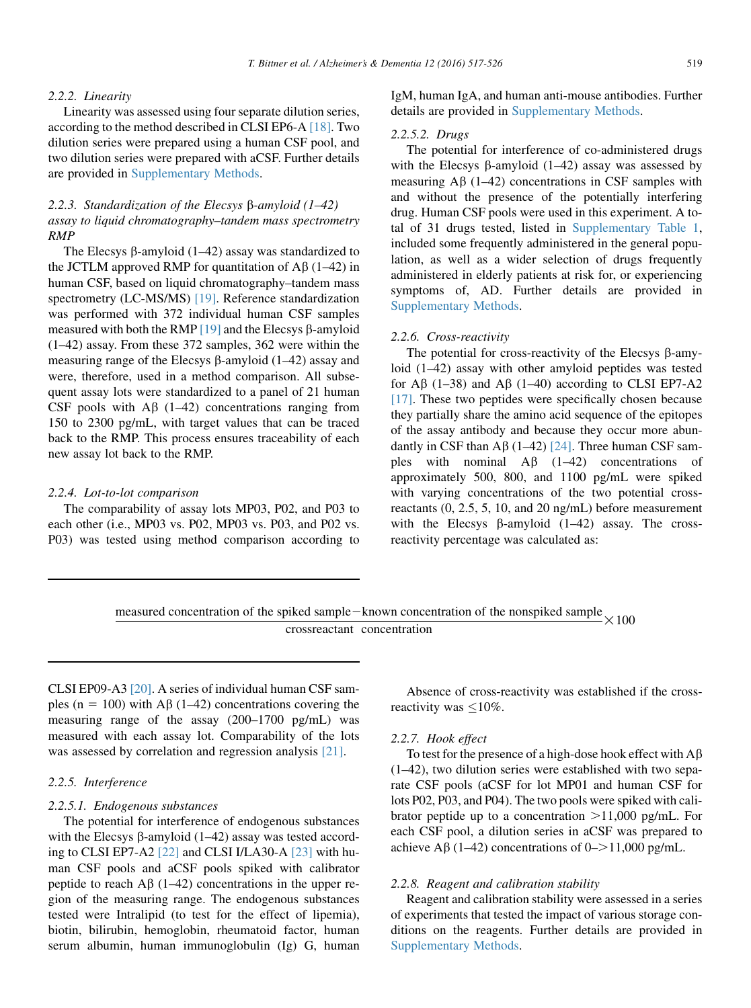## 2.2.2. Linearity

Linearity was assessed using four separate dilution series, according to the method described in CLSI EP6-A [\[18\].](#page-9-0) Two dilution series were prepared using a human CSF pool, and two dilution series were prepared with aCSF. Further details are provided in Supplementary Methods.

# 2.2.3. Standardization of the Elecsys  $\beta$ -amyloid (1–42) assay to liquid chromatography–tandem mass spectrometry RMP

The Elecsys  $\beta$ -amyloid (1–42) assay was standardized to the JCTLM approved RMP for quantitation of  $\mathbf{A}\beta$  (1–42) in human CSF, based on liquid chromatography–tandem mass spectrometry (LC-MS/MS) [\[19\].](#page-9-0) Reference standardization was performed with 372 individual human CSF samples measured with both the RMP  $[19]$  and the Elecsys  $\beta$ -amyloid (1–42) assay. From these 372 samples, 362 were within the measuring range of the Elecsys  $\beta$ -amyloid (1–42) assay and were, therefore, used in a method comparison. All subsequent assay lots were standardized to a panel of 21 human CSF pools with  $\overrightarrow{AB}$  (1–42) concentrations ranging from 150 to 2300 pg/mL, with target values that can be traced back to the RMP. This process ensures traceability of each new assay lot back to the RMP.

#### 2.2.4. Lot-to-lot comparison

The comparability of assay lots MP03, P02, and P03 to each other (i.e., MP03 vs. P02, MP03 vs. P03, and P02 vs. P03) was tested using method comparison according to IgM, human IgA, and human anti-mouse antibodies. Further details are provided in Supplementary Methods.

#### 2.2.5.2. Drugs

The potential for interference of co-administered drugs with the Elecsys  $\beta$ -amyloid (1–42) assay was assessed by measuring  $\overrightarrow{AB}$  (1–42) concentrations in CSF samples with and without the presence of the potentially interfering drug. Human CSF pools were used in this experiment. A total of 31 drugs tested, listed in Supplementary Table 1, included some frequently administered in the general population, as well as a wider selection of drugs frequently administered in elderly patients at risk for, or experiencing symptoms of, AD. Further details are provided in Supplementary Methods.

## 2.2.6. Cross-reactivity

The potential for cross-reactivity of the Elecsys  $\beta$ -amyloid (1–42) assay with other amyloid peptides was tested for  $\overline{AB}$  (1–38) and  $\overline{AB}$  (1–40) according to CLSI EP7-A2 [\[17\].](#page-8-0) These two peptides were specifically chosen because they partially share the amino acid sequence of the epitopes of the assay antibody and because they occur more abundantly in CSF than A $\beta$  (1–42) [\[24\].](#page-9-0) Three human CSF samples with nominal  $\overrightarrow{AB}$  (1–42) concentrations of approximately 500, 800, and 1100 pg/mL were spiked with varying concentrations of the two potential crossreactants (0, 2.5, 5, 10, and 20 ng/mL) before measurement with the Elecsys  $\beta$ -amyloid (1–42) assay. The crossreactivity percentage was calculated as:

measured concentration of the spiked sample – known concentration of the nonspiked sample  $\times 100$  crossreactant concentration

CLSI EP09-A3 [\[20\]](#page-9-0). A series of individual human CSF samples (n = 100) with A $\beta$  (1–42) concentrations covering the measuring range of the assay (200–1700 pg/mL) was measured with each assay lot. Comparability of the lots was assessed by correlation and regression analysis [\[21\].](#page-9-0)

## 2.2.5. Interference

#### 2.2.5.1. Endogenous substances

The potential for interference of endogenous substances with the Elecsys  $\beta$ -amyloid (1–42) assay was tested according to CLSI EP7-A2 [\[22\]](#page-9-0) and CLSI I/LA30-A [\[23\]](#page-9-0) with human CSF pools and aCSF pools spiked with calibrator peptide to reach  $\text{A}\beta$  (1–42) concentrations in the upper region of the measuring range. The endogenous substances tested were Intralipid (to test for the effect of lipemia), biotin, bilirubin, hemoglobin, rheumatoid factor, human serum albumin, human immunoglobulin (Ig) G, human

Absence of cross-reactivity was established if the crossreactivity was  $\leq 10\%$ .

## 2.2.7. Hook effect

To test for the presence of a high-dose hook effect with  $A\beta$ (1–42), two dilution series were established with two separate CSF pools (aCSF for lot MP01 and human CSF for lots P02, P03, and P04). The two pools were spiked with calibrator peptide up to a concentration  $>11,000$  pg/mL. For each CSF pool, a dilution series in aCSF was prepared to achieve A $\beta$  (1–42) concentrations of 0–>11,000 pg/mL.

## 2.2.8. Reagent and calibration stability

Reagent and calibration stability were assessed in a series of experiments that tested the impact of various storage conditions on the reagents. Further details are provided in Supplementary Methods.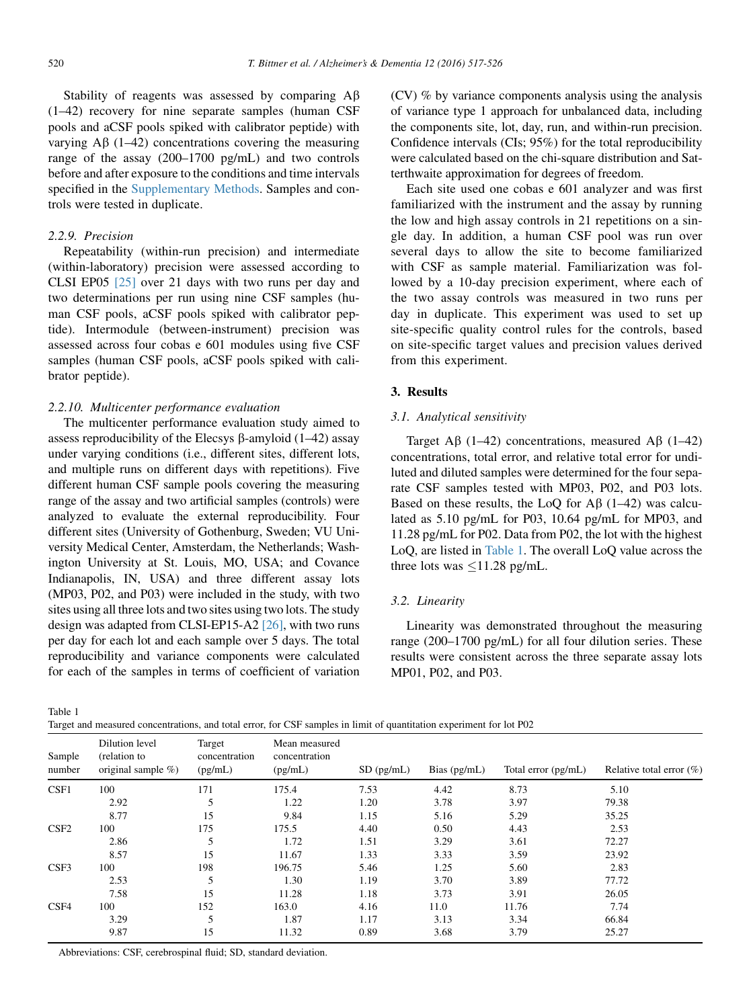Stability of reagents was assessed by comparing  $A\beta$ (1–42) recovery for nine separate samples (human CSF pools and aCSF pools spiked with calibrator peptide) with varying  $\mathbf{A}\beta$  (1–42) concentrations covering the measuring range of the assay (200–1700 pg/mL) and two controls before and after exposure to the conditions and time intervals specified in the Supplementary Methods. Samples and controls were tested in duplicate.

## 2.2.9. Precision

Repeatability (within-run precision) and intermediate (within-laboratory) precision were assessed according to CLSI EP05 [\[25\]](#page-9-0) over 21 days with two runs per day and two determinations per run using nine CSF samples (human CSF pools, aCSF pools spiked with calibrator peptide). Intermodule (between-instrument) precision was assessed across four cobas e 601 modules using five CSF samples (human CSF pools, aCSF pools spiked with calibrator peptide).

## 2.2.10. Multicenter performance evaluation

The multicenter performance evaluation study aimed to assess reproducibility of the Elecsys  $\beta$ -amyloid (1–42) assay under varying conditions (i.e., different sites, different lots, and multiple runs on different days with repetitions). Five different human CSF sample pools covering the measuring range of the assay and two artificial samples (controls) were analyzed to evaluate the external reproducibility. Four different sites (University of Gothenburg, Sweden; VU University Medical Center, Amsterdam, the Netherlands; Washington University at St. Louis, MO, USA; and Covance Indianapolis, IN, USA) and three different assay lots (MP03, P02, and P03) were included in the study, with two sites using all three lots and two sites using two lots. The study design was adapted from CLSI-EP15-A2 [\[26\]](#page-9-0), with two runs per day for each lot and each sample over 5 days. The total reproducibility and variance components were calculated for each of the samples in terms of coefficient of variation (CV) % by variance components analysis using the analysis of variance type 1 approach for unbalanced data, including the components site, lot, day, run, and within-run precision. Confidence intervals (CIs; 95%) for the total reproducibility were calculated based on the chi-square distribution and Satterthwaite approximation for degrees of freedom.

Each site used one cobas e 601 analyzer and was first familiarized with the instrument and the assay by running the low and high assay controls in 21 repetitions on a single day. In addition, a human CSF pool was run over several days to allow the site to become familiarized with CSF as sample material. Familiarization was followed by a 10-day precision experiment, where each of the two assay controls was measured in two runs per day in duplicate. This experiment was used to set up site-specific quality control rules for the controls, based on site-specific target values and precision values derived from this experiment.

## 3. Results

## 3.1. Analytical sensitivity

Target A $\beta$  (1–42) concentrations, measured A $\beta$  (1–42) concentrations, total error, and relative total error for undiluted and diluted samples were determined for the four separate CSF samples tested with MP03, P02, and P03 lots. Based on these results, the LoQ for  $\mathbb{A}\beta$  (1–42) was calculated as 5.10 pg/mL for P03, 10.64 pg/mL for MP03, and 11.28 pg/mL for P02. Data from P02, the lot with the highest LoQ, are listed in Table 1. The overall LoQ value across the three lots was  $\leq$ 11.28 pg/mL.

## 3.2. Linearity

Linearity was demonstrated throughout the measuring range (200–1700 pg/mL) for all four dilution series. These results were consistent across the three separate assay lots MP01, P02, and P03.

Table 1

Target and measured concentrations, and total error, for CSF samples in limit of quantitation experiment for lot P02

| Sample<br>number | Dilution level<br>(relation to<br>original sample $\%$ ) | Target<br>concentration<br>(pg/mL) | Mean measured<br>concentration<br>(pg/mL) | $SD$ (pg/mL) | Bias $(pg/mL)$ | Total error (pg/mL) | Relative total error $(\% )$ |
|------------------|----------------------------------------------------------|------------------------------------|-------------------------------------------|--------------|----------------|---------------------|------------------------------|
| CSF1             | 100                                                      | 171                                | 175.4                                     | 7.53         | 4.42           | 8.73                | 5.10                         |
|                  | 2.92                                                     | 5                                  | 1.22                                      | 1.20         | 3.78           | 3.97                | 79.38                        |
|                  | 8.77                                                     | 15                                 | 9.84                                      | 1.15         | 5.16           | 5.29                | 35.25                        |
| CSF <sub>2</sub> | 100                                                      | 175                                | 175.5                                     | 4.40         | 0.50           | 4.43                | 2.53                         |
|                  | 2.86                                                     | 5                                  | 1.72                                      | 1.51         | 3.29           | 3.61                | 72.27                        |
|                  | 8.57                                                     | 15                                 | 11.67                                     | 1.33         | 3.33           | 3.59                | 23.92                        |
| CSF3             | 100                                                      | 198                                | 196.75                                    | 5.46         | 1.25           | 5.60                | 2.83                         |
|                  | 2.53                                                     | 5                                  | 1.30                                      | 1.19         | 3.70           | 3.89                | 77.72                        |
|                  | 7.58                                                     | 15                                 | 11.28                                     | 1.18         | 3.73           | 3.91                | 26.05                        |
| CSF4             | 100                                                      | 152                                | 163.0                                     | 4.16         | 11.0           | 11.76               | 7.74                         |
|                  | 3.29                                                     | 5                                  | 1.87                                      | 1.17         | 3.13           | 3.34                | 66.84                        |
|                  | 9.87                                                     | 15                                 | 11.32                                     | 0.89         | 3.68           | 3.79                | 25.27                        |
|                  |                                                          |                                    |                                           |              |                |                     |                              |

Abbreviations: CSF, cerebrospinal fluid; SD, standard deviation.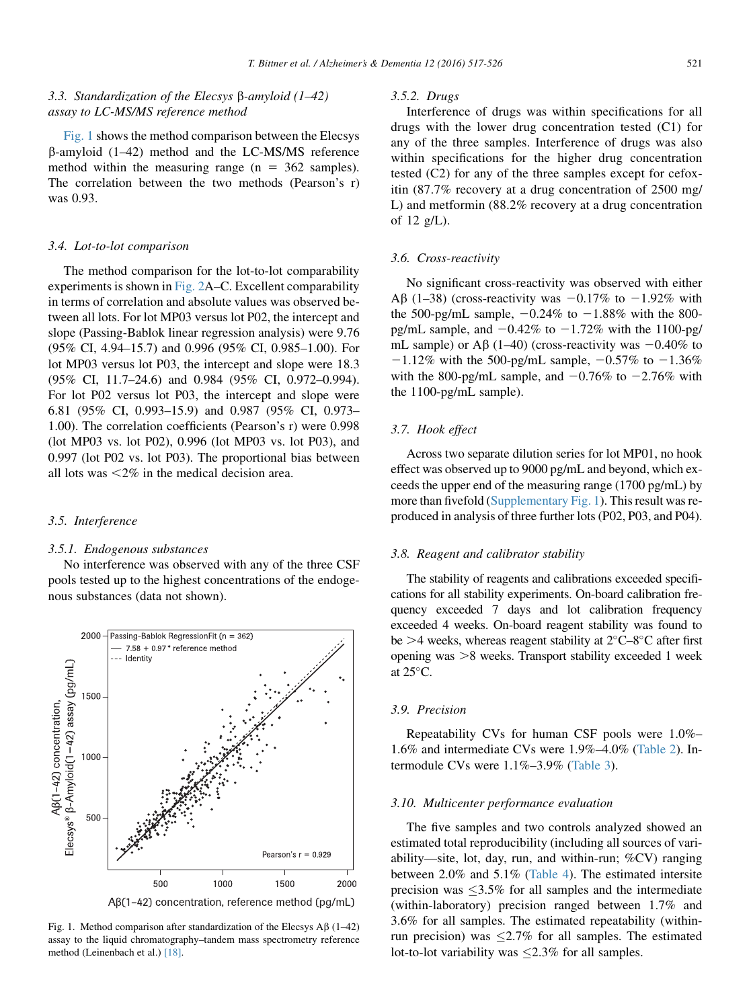# 3.3. Standardization of the Elecsys  $\beta$ -amyloid (1–42) assay to LC-MS/MS reference method

Fig. 1 shows the method comparison between the Elecsys  $\beta$ -amyloid (1–42) method and the LC-MS/MS reference method within the measuring range ( $n = 362$  samples). The correlation between the two methods (Pearson's r) was 0.93.

## 3.4. Lot-to-lot comparison

The method comparison for the lot-to-lot comparability experiments is shown in [Fig. 2A](#page-5-0)–C. Excellent comparability in terms of correlation and absolute values was observed between all lots. For lot MP03 versus lot P02, the intercept and slope (Passing-Bablok linear regression analysis) were 9.76 (95% CI, 4.94–15.7) and 0.996 (95% CI, 0.985–1.00). For lot MP03 versus lot P03, the intercept and slope were 18.3 (95% CI, 11.7–24.6) and 0.984 (95% CI, 0.972–0.994). For lot P02 versus lot P03, the intercept and slope were 6.81 (95% CI, 0.993–15.9) and 0.987 (95% CI, 0.973– 1.00). The correlation coefficients (Pearson's r) were 0.998 (lot MP03 vs. lot P02), 0.996 (lot MP03 vs. lot P03), and 0.997 (lot P02 vs. lot P03). The proportional bias between all lots was  $\leq 2\%$  in the medical decision area.

#### 3.5. Interference

#### 3.5.1. Endogenous substances

No interference was observed with any of the three CSF pools tested up to the highest concentrations of the endogenous substances (data not shown).



Fig. 1. Method comparison after standardization of the Elecsys  $\overrightarrow{AB}$  (1–42) assay to the liquid chromatography–tandem mass spectrometry reference method (Leinenbach et al.) [\[18\]](#page-9-0).

## 3.5.2. Drugs

Interference of drugs was within specifications for all drugs with the lower drug concentration tested (C1) for any of the three samples. Interference of drugs was also within specifications for the higher drug concentration tested (C2) for any of the three samples except for cefoxitin (87.7% recovery at a drug concentration of 2500 mg/ L) and metformin (88.2% recovery at a drug concentration of 12 g/L).

## 3.6. Cross-reactivity

No significant cross-reactivity was observed with either A $\beta$  (1–38) (cross-reactivity was  $-0.17\%$  to  $-1.92\%$  with the 500-pg/mL sample,  $-0.24\%$  to  $-1.88\%$  with the 800pg/mL sample, and  $-0.42\%$  to  $-1.72\%$  with the 1100-pg/ mL sample) or A $\beta$  (1–40) (cross-reactivity was  $-0.40\%$  to  $-1.12\%$  with the 500-pg/mL sample,  $-0.57\%$  to  $-1.36\%$ with the 800-pg/mL sample, and  $-0.76\%$  to  $-2.76\%$  with the 1100-pg/mL sample).

#### 3.7. Hook effect

Across two separate dilution series for lot MP01, no hook effect was observed up to 9000 pg/mL and beyond, which exceeds the upper end of the measuring range (1700 pg/mL) by more than fivefold (Supplementary Fig. 1). This result was reproduced in analysis of three further lots (P02, P03, and P04).

#### 3.8. Reagent and calibrator stability

The stability of reagents and calibrations exceeded specifications for all stability experiments. On-board calibration frequency exceeded 7 days and lot calibration frequency exceeded 4 weeks. On-board reagent stability was found to be  $>4$  weeks, whereas reagent stability at  $2^{\circ}$ C–8<sup>o</sup>C after first opening was  $>8$  weeks. Transport stability exceeded 1 week at  $25^{\circ}$ C.

#### 3.9. Precision

Repeatability CVs for human CSF pools were 1.0%– 1.6% and intermediate CVs were 1.9%–4.0% ([Table 2\)](#page-6-0). Intermodule CVs were 1.1%–3.9% ([Table 3\)](#page-6-0).

#### 3.10. Multicenter performance evaluation

The five samples and two controls analyzed showed an estimated total reproducibility (including all sources of variability—site, lot, day, run, and within-run; %CV) ranging between 2.0% and 5.1% [\(Table 4\)](#page-7-0). The estimated intersite precision was  $\leq 3.5\%$  for all samples and the intermediate (within-laboratory) precision ranged between 1.7% and 3.6% for all samples. The estimated repeatability (withinrun precision) was  $\leq 2.7\%$  for all samples. The estimated lot-to-lot variability was  $\leq$ 2.3% for all samples.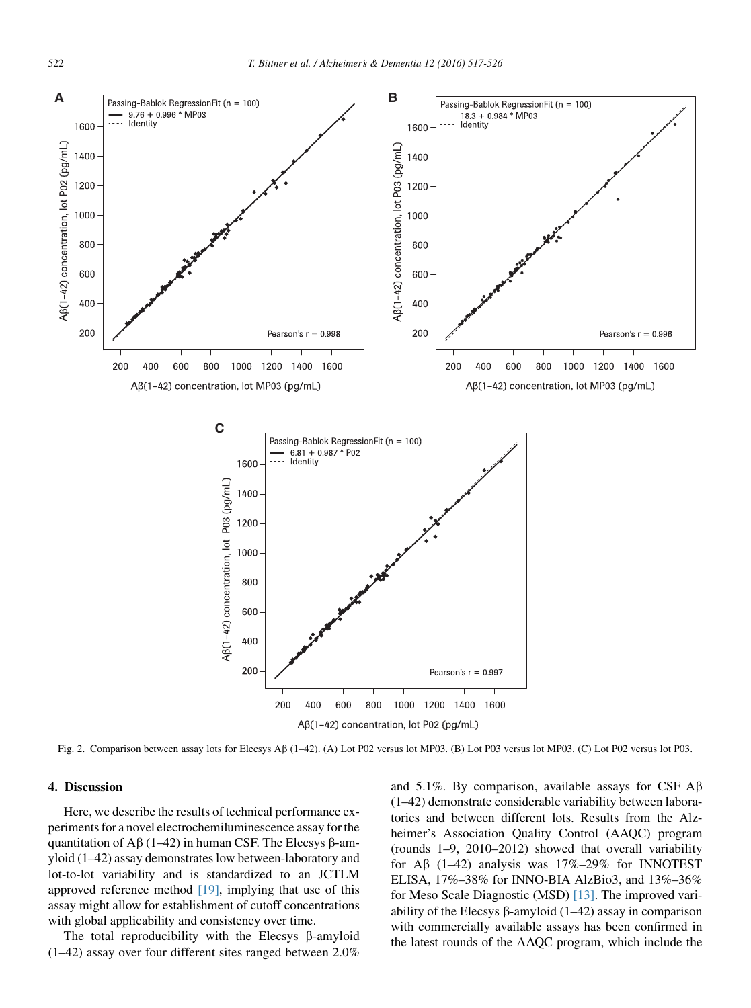<span id="page-5-0"></span>

Fig. 2. Comparison between assay lots for Elecsys A $\beta$  (1–42). (A) Lot P02 versus lot MP03. (B) Lot P03 versus lot MP03. (C) Lot P02 versus lot P03.

## 4. Discussion

Here, we describe the results of technical performance experiments for a novel electrochemiluminescence assay for the quantitation of A $\beta$  (1–42) in human CSF. The Elecsys  $\beta$ -amyloid (1–42) assay demonstrates low between-laboratory and lot-to-lot variability and is standardized to an JCTLM approved reference method  $[19]$ , implying that use of this assay might allow for establishment of cutoff concentrations with global applicability and consistency over time.

The total reproducibility with the Elecsys  $\beta$ -amyloid (1–42) assay over four different sites ranged between 2.0% and 5.1%. By comparison, available assays for CSF  $\mathbf{A}\mathbf{\beta}$ (1–42) demonstrate considerable variability between laboratories and between different lots. Results from the Alzheimer's Association Quality Control (AAQC) program (rounds 1–9, 2010–2012) showed that overall variability for A $\beta$  (1–42) analysis was 17%–29% for INNOTEST ELISA, 17%–38% for INNO-BIA AlzBio3, and 13%–36% for Meso Scale Diagnostic (MSD) [\[13\]](#page-8-0). The improved variability of the Elecsys  $\beta$ -amyloid (1–42) assay in comparison with commercially available assays has been confirmed in the latest rounds of the AAQC program, which include the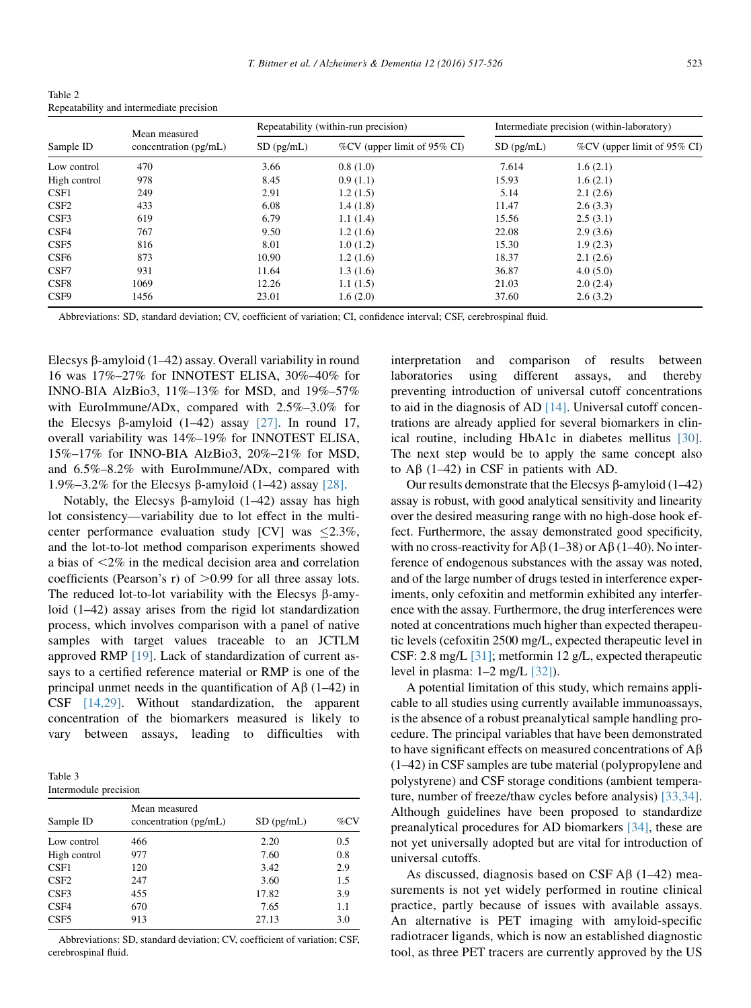<span id="page-6-0"></span>Table 2 Repeatability and intermediate precision

|                  | Mean measured         |              | Repeatability (within-run precision) |              | Intermediate precision (within-laboratory) |
|------------------|-----------------------|--------------|--------------------------------------|--------------|--------------------------------------------|
| Sample ID        | concentration (pg/mL) | $SD$ (pg/mL) | %CV (upper limit of 95% CI)          | $SD$ (pg/mL) | %CV (upper limit of 95% CI)                |
| Low control      | 470                   | 3.66         | 0.8(1.0)                             | 7.614        | 1.6(2.1)                                   |
| High control     | 978                   | 8.45         | 0.9(1.1)                             | 15.93        | 1.6(2.1)                                   |
| CSF1             | 249                   | 2.91         | 1.2(1.5)                             | 5.14         | 2.1(2.6)                                   |
| CSF <sub>2</sub> | 433                   | 6.08         | 1.4(1.8)                             | 11.47        | 2.6(3.3)                                   |
| CSF3             | 619                   | 6.79         | 1.1(1.4)                             | 15.56        | 2.5(3.1)                                   |
| CSF4             | 767                   | 9.50         | 1.2(1.6)                             | 22.08        | 2.9(3.6)                                   |
| CSF <sub>5</sub> | 816                   | 8.01         | 1.0(1.2)                             | 15.30        | 1.9(2.3)                                   |
| CSF <sub>6</sub> | 873                   | 10.90        | 1.2(1.6)                             | 18.37        | 2.1(2.6)                                   |
| CSF7             | 931                   | 11.64        | 1.3(1.6)                             | 36.87        | 4.0(5.0)                                   |
| CSF8             | 1069                  | 12.26        | 1.1(1.5)                             | 21.03        | 2.0(2.4)                                   |
| CSF9             | 1456                  | 23.01        | 1.6(2.0)                             | 37.60        | 2.6(3.2)                                   |

Abbreviations: SD, standard deviation; CV, coefficient of variation; CI, confidence interval; CSF, cerebrospinal fluid.

Elecsys  $\beta$ -amyloid (1–42) assay. Overall variability in round 16 was 17%–27% for INNOTEST ELISA, 30%–40% for INNO-BIA AlzBio3, 11%–13% for MSD, and 19%–57% with EuroImmune/ADx, compared with 2.5%–3.0% for the Elecsys  $\beta$ -amyloid (1–42) assay [\[27\]](#page-9-0). In round 17, overall variability was 14%–19% for INNOTEST ELISA, 15%–17% for INNO-BIA AlzBio3, 20%–21% for MSD, and 6.5%–8.2% with EuroImmune/ADx, compared with 1.9%–3.2% for the Elecsys β-amyloid  $(1-42)$  assay [\[28\]](#page-9-0).

Notably, the Elecsys  $\beta$ -amyloid (1–42) assay has high lot consistency—variability due to lot effect in the multicenter performance evaluation study [CV] was  $\leq 2.3\%$ , and the lot-to-lot method comparison experiments showed a bias of  $\leq 2\%$  in the medical decision area and correlation coefficients (Pearson's r) of  $>0.99$  for all three assay lots. The reduced lot-to-lot variability with the Elecsys  $\beta$ -amyloid (1–42) assay arises from the rigid lot standardization process, which involves comparison with a panel of native samples with target values traceable to an JCTLM approved RMP [\[19\].](#page-9-0) Lack of standardization of current assays to a certified reference material or RMP is one of the principal unmet needs in the quantification of  $\mathbf{A}\beta$  (1–42) in CSF [\[14,29\]](#page-8-0). Without standardization, the apparent concentration of the biomarkers measured is likely to vary between assays, leading to difficulties with

| Table 3               |  |
|-----------------------|--|
| Intermodule precision |  |

| Sample ID        | Mean measured<br>concentration (pg/mL) | $SD$ (pg/mL) | $\%$ CV |
|------------------|----------------------------------------|--------------|---------|
| Low control      | 466                                    | 2.20         | 0.5     |
| High control     | 977                                    | 7.60         | 0.8     |
| CSF1             | 120                                    | 3.42         | 2.9     |
| C <sub>SE2</sub> | 247                                    | 3.60         | 1.5     |
| CSF3             | 455                                    | 17.82        | 3.9     |
| CSF4             | 670                                    | 7.65         | 1.1     |
| CSF <sub>5</sub> | 913                                    | 27.13        | 3.0     |

Abbreviations: SD, standard deviation; CV, coefficient of variation; CSF, cerebrospinal fluid.

interpretation and comparison of results between laboratories using different assays, and thereby preventing introduction of universal cutoff concentrations to aid in the diagnosis of AD [\[14\].](#page-8-0) Universal cutoff concentrations are already applied for several biomarkers in clinical routine, including HbA1c in diabetes mellitus [\[30\].](#page-9-0) The next step would be to apply the same concept also to  $\overline{AB}$  (1–42) in CSF in patients with AD.

Our results demonstrate that the Elecsys  $\beta$ -amyloid (1–42) assay is robust, with good analytical sensitivity and linearity over the desired measuring range with no high-dose hook effect. Furthermore, the assay demonstrated good specificity, with no cross-reactivity for A $\beta$  (1–38) or A $\beta$  (1–40). No interference of endogenous substances with the assay was noted, and of the large number of drugs tested in interference experiments, only cefoxitin and metformin exhibited any interference with the assay. Furthermore, the drug interferences were noted at concentrations much higher than expected therapeutic levels (cefoxitin 2500 mg/L, expected therapeutic level in CSF: 2.8 mg/L [\[31\];](#page-9-0) metformin 12 g/L, expected therapeutic level in plasma: 1–2 mg/L [\[32\]\)](#page-9-0).

A potential limitation of this study, which remains applicable to all studies using currently available immunoassays, is the absence of a robust preanalytical sample handling procedure. The principal variables that have been demonstrated to have significant effects on measured concentrations of  $A\beta$ (1–42) in CSF samples are tube material (polypropylene and polystyrene) and CSF storage conditions (ambient temperature, number of freeze/thaw cycles before analysis) [\[33,34\].](#page-9-0) Although guidelines have been proposed to standardize preanalytical procedures for AD biomarkers [\[34\],](#page-9-0) these are not yet universally adopted but are vital for introduction of universal cutoffs.

As discussed, diagnosis based on CSF  $\mathbf{A}\beta$  (1–42) measurements is not yet widely performed in routine clinical practice, partly because of issues with available assays. An alternative is PET imaging with amyloid-specific radiotracer ligands, which is now an established diagnostic tool, as three PET tracers are currently approved by the US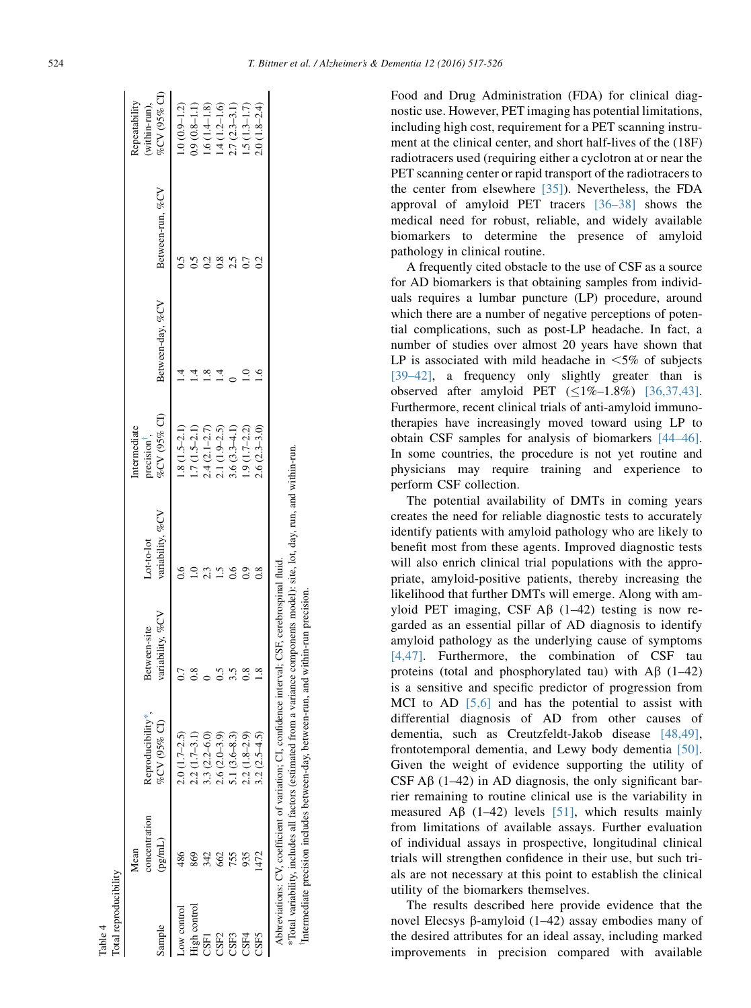<span id="page-7-0"></span>

|              | v<br>۰. |     |
|--------------|---------|-----|
| ۰,<br>٠<br>× |         | . . |

Food and Drug Administration (FDA) for clinical diagnostic use. However, PET imaging has potential limitations, including high cost, requirement for a PET scanning instrument at the clinical center, and short half-lives of the (18F) radiotracers used (requiring either a cyclotron at or near the PET scanning center or rapid transport of the radiotracers to the center from elsewhere [\[35\]\)](#page-9-0). Nevertheless, the FDA approval of amyloid PET tracers [\[36–38\]](#page-9-0) shows the medical need for robust, reliable, and widely available biomarkers to determine the presence of amyloid pathology in clinical routine.

A frequently cited obstacle to the use of CSF as a source for AD biomarkers is that obtaining samples from individuals requires a lumbar puncture (LP) procedure, around which there are a number of negative perceptions of potential complications, such as post-LP headache. In fact, a number of studies over almost 20 years have shown that LP is associated with mild headache in  $\leq 5\%$  of subjects [\[39–42\],](#page-9-0) a frequency only slightly greater than is observed after amyloid PET  $(≤1%−1.8%)$  [\[36,37,43\].](#page-9-0) Furthermore, recent clinical trials of anti-amyloid immunotherapies have increasingly moved toward using LP to obtain CSF samples for analysis of biomarkers [\[44–46\].](#page-9-0) In some countries, the procedure is not yet routine and physicians may require training and experience to perform CSF collection.

The potential availability of DMTs in coming years creates the need for reliable diagnostic tests to accurately identify patients with amyloid pathology who are likely to benefit most from these agents. Improved diagnostic tests will also enrich clinical trial populations with the appropriate, amyloid-positive patients, thereby increasing the likelihood that further DMTs will emerge. Along with amyloid PET imaging, CSF  $\overrightarrow{AB}$  (1–42) testing is now regarded as an essential pillar of AD diagnosis to identify amyloid pathology as the underlying cause of symptoms [\[4,47\].](#page-8-0) Furthermore, the combination of CSF tau proteins (total and phosphorylated tau) with  $\mathbf{A}\beta$  (1–42) is a sensitive and specific predictor of progression from MCI to AD  $[5,6]$  and has the potential to assist with differential diagnosis of AD from other causes of dementia, such as Creutzfeldt-Jakob disease [\[48,49\],](#page-9-0) frontotemporal dementia, and Lewy body dementia [\[50\].](#page-9-0) Given the weight of evidence supporting the utility of CSF  $\overrightarrow{AB}$  (1–42) in AD diagnosis, the only significant barrier remaining to routine clinical use is the variability in measured A $\beta$  (1–42) levels [\[51\],](#page-9-0) which results mainly from limitations of available assays. Further evaluation of individual assays in prospective, longitudinal clinical trials will strengthen confidence in their use, but such trials are not necessary at this point to establish the clinical utility of the biomarkers themselves.

The results described here provide evidence that the novel Elecsys  $\beta$ -amyloid (1–42) assay embodies many of the desired attributes for an ideal assay, including marked improvements in precision compared with available

|                                   |                                  |                                | Intermediate                                                                                    |                                                                                                                                                                 |                      | Repeatability                 |
|-----------------------------------|----------------------------------|--------------------------------|-------------------------------------------------------------------------------------------------|-----------------------------------------------------------------------------------------------------------------------------------------------------------------|----------------------|-------------------------------|
| Reproducibility*,<br>%CV (95% CI) | variability, %CV<br>Between-site | variability, %CV<br>Lot-to-lot | %CV (95% CI)<br>precision',                                                                     | Between-day, %CV                                                                                                                                                | Between-run, %CV     | %CV (95% CI)<br>(within-run), |
| $2.0(1.7-2.5)$                    |                                  | ٥.                             | $1.8(1.5-2.1)$                                                                                  |                                                                                                                                                                 |                      | $1.0(0.9 - 1.2)$              |
| $2.2(1.7-3.1)$                    |                                  |                                | $1.7(1.5-2.1)$                                                                                  |                                                                                                                                                                 |                      | $0.9(0.8 - 1.1)$              |
| $3.3(2.2 - 6.0)$                  |                                  |                                | $2.4(2.1-2.7)$                                                                                  |                                                                                                                                                                 |                      | $1.6(1.4 - 1.8)$              |
| $2.6(2.0-3.9)$                    | 3<br>0                           |                                |                                                                                                 |                                                                                                                                                                 | $\tilde{\mathbf{S}}$ | $1.4(1.2 - 1.6)$              |
| 5.1 $(3.6-8.3)$                   | 33                               | 6.                             |                                                                                                 |                                                                                                                                                                 |                      | $2.7(2.3-3.1)$                |
| $2.2(1.8-2.9)$                    |                                  | 0.6                            | $1.9(1.7-2.2)$                                                                                  |                                                                                                                                                                 |                      | $1.5(1.3 - 1.7)$              |
| $3.2(2.5-4.5)$                    |                                  | 0.8                            | $2.6(2.3-3.0)$                                                                                  |                                                                                                                                                                 |                      | $2.0(1.8-2.4)$                |
|                                   |                                  |                                |                                                                                                 |                                                                                                                                                                 |                      |                               |
|                                   |                                  |                                | Abbreviations: CV, coefficient of variation; CI, confidence interval; CSF, cerebrospinal fluid. | $2.1(1.9-2.5)$<br>$3.6(3.3-4.1)$<br>*Total variability, includes all factors (estimated from a variance components model): site, lot, day, run, and within-run. |                      |                               |

Intermediate precision includes between-day, between-run, and within-run precision.

Intermediate precision includes between-day, between-run, and within-run precision.

Table 4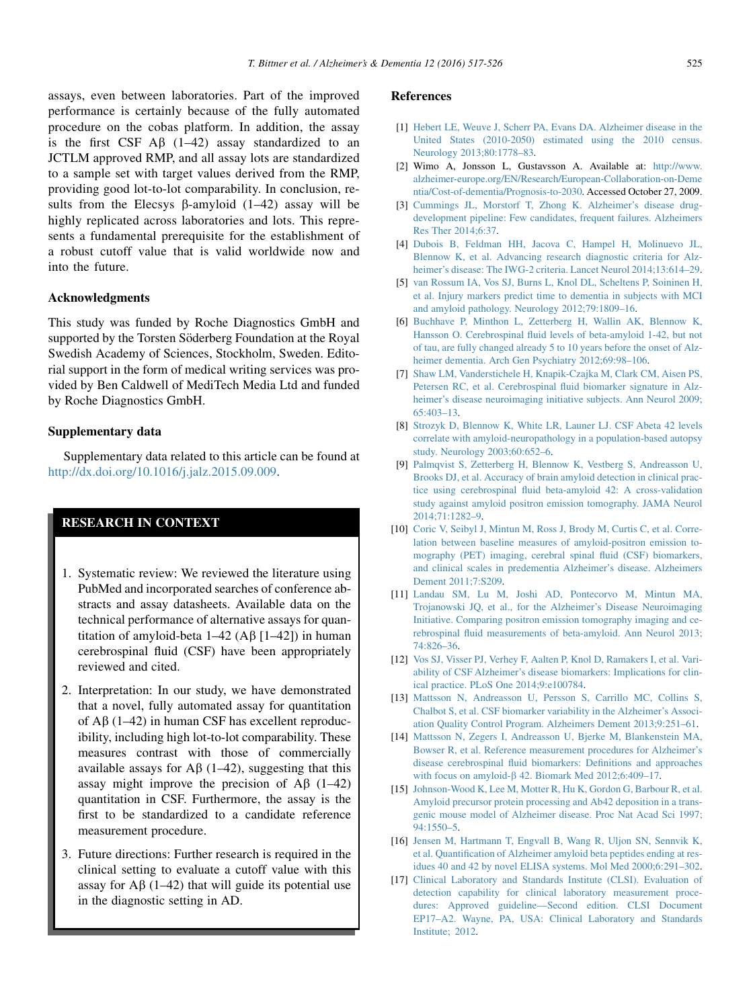<span id="page-8-0"></span>assays, even between laboratories. Part of the improved performance is certainly because of the fully automated procedure on the cobas platform. In addition, the assay is the first CSF  $\overrightarrow{AB}$  (1–42) assay standardized to an JCTLM approved RMP, and all assay lots are standardized to a sample set with target values derived from the RMP, providing good lot-to-lot comparability. In conclusion, results from the Elecsys  $\beta$ -amyloid (1–42) assay will be highly replicated across laboratories and lots. This represents a fundamental prerequisite for the establishment of a robust cutoff value that is valid worldwide now and into the future.

#### Acknowledgments

This study was funded by Roche Diagnostics GmbH and supported by the Torsten Söderberg Foundation at the Royal Swedish Academy of Sciences, Stockholm, Sweden. Editorial support in the form of medical writing services was provided by Ben Caldwell of MediTech Media Ltd and funded by Roche Diagnostics GmbH.

## Supplementary data

Supplementary data related to this article can be found at <http://dx.doi.org/10.1016/j.jalz.2015.09.009>.

# RESEARCH IN CONTEXT

- 1. Systematic review: We reviewed the literature using PubMed and incorporated searches of conference abstracts and assay datasheets. Available data on the technical performance of alternative assays for quantitation of amyloid-beta  $1-42$  (A $\beta$  [1-42]) in human cerebrospinal fluid (CSF) have been appropriately reviewed and cited.
- 2. Interpretation: In our study, we have demonstrated that a novel, fully automated assay for quantitation of  $\overrightarrow{AB}$  (1–42) in human CSF has excellent reproducibility, including high lot-to-lot comparability. These measures contrast with those of commercially available assays for  $\overrightarrow{AB}$  (1–42), suggesting that this assay might improve the precision of  $\mathbf{A}\beta$  (1–42) quantitation in CSF. Furthermore, the assay is the first to be standardized to a candidate reference measurement procedure.
- 3. Future directions: Further research is required in the clinical setting to evaluate a cutoff value with this assay for  $\mathbf{A}\beta$  (1–42) that will guide its potential use in the diagnostic setting in AD.

## References

- [1] [Hebert LE, Weuve J, Scherr PA, Evans DA. Alzheimer disease in the](http://refhub.elsevier.com/S1552-5260(15)02915-5/sref1) [United States \(2010-2050\) estimated using the 2010 census.](http://refhub.elsevier.com/S1552-5260(15)02915-5/sref1) [Neurology 2013;80:1778–83.](http://refhub.elsevier.com/S1552-5260(15)02915-5/sref1)
- [2] Wimo A, Jonsson L, Gustavsson A. Available at: [http://www.](http://www.alzheimer-europe.org/EN/Research/European-Collaboration-on-Dementia/Cost-of-dementia/Prognosis-to-2030) [alzheimer-europe.org/EN/Research/European-Collaboration-on-Deme](http://www.alzheimer-europe.org/EN/Research/European-Collaboration-on-Dementia/Cost-of-dementia/Prognosis-to-2030) [ntia/Cost-of-dementia/Prognosis-to-2030.](http://www.alzheimer-europe.org/EN/Research/European-Collaboration-on-Dementia/Cost-of-dementia/Prognosis-to-2030) Accessed October 27, 2009.
- [3] [Cummings JL, Morstorf T, Zhong K. Alzheimer's disease drug](http://refhub.elsevier.com/S1552-5260(15)02915-5/sref3)[development pipeline: Few candidates, frequent failures. Alzheimers](http://refhub.elsevier.com/S1552-5260(15)02915-5/sref3) [Res Ther 2014;6:37.](http://refhub.elsevier.com/S1552-5260(15)02915-5/sref3)
- [4] [Dubois B, Feldman HH, Jacova C, Hampel H, Molinuevo JL,](http://refhub.elsevier.com/S1552-5260(15)02915-5/sref4) [Blennow K, et al. Advancing research diagnostic criteria for Alz](http://refhub.elsevier.com/S1552-5260(15)02915-5/sref4)[heimer's disease: The IWG-2 criteria. Lancet Neurol 2014;13:614–29](http://refhub.elsevier.com/S1552-5260(15)02915-5/sref4).
- [5] [van Rossum IA, Vos SJ, Burns L, Knol DL, Scheltens P, Soininen H,](http://refhub.elsevier.com/S1552-5260(15)02915-5/sref5) [et al. Injury markers predict time to dementia in subjects with MCI](http://refhub.elsevier.com/S1552-5260(15)02915-5/sref5) [and amyloid pathology. Neurology 2012;79:1809–16](http://refhub.elsevier.com/S1552-5260(15)02915-5/sref5).
- [6] [Buchhave P, Minthon L, Zetterberg H, Wallin AK, Blennow K,](http://refhub.elsevier.com/S1552-5260(15)02915-5/sref6) [Hansson O. Cerebrospinal fluid levels of beta-amyloid 1-42, but not](http://refhub.elsevier.com/S1552-5260(15)02915-5/sref6) [of tau, are fully changed already 5 to 10 years before the onset of Alz](http://refhub.elsevier.com/S1552-5260(15)02915-5/sref6)[heimer dementia. Arch Gen Psychiatry 2012;69:98–106.](http://refhub.elsevier.com/S1552-5260(15)02915-5/sref6)
- [7] [Shaw LM, Vanderstichele H, Knapik-Czajka M, Clark CM, Aisen PS,](http://refhub.elsevier.com/S1552-5260(15)02915-5/sref7) [Petersen RC, et al. Cerebrospinal fluid biomarker signature in Alz](http://refhub.elsevier.com/S1552-5260(15)02915-5/sref7)[heimer's disease neuroimaging initiative subjects. Ann Neurol 2009;](http://refhub.elsevier.com/S1552-5260(15)02915-5/sref7) [65:403–13](http://refhub.elsevier.com/S1552-5260(15)02915-5/sref7).
- [8] [Strozyk D, Blennow K, White LR, Launer LJ. CSF Abeta 42 levels](http://refhub.elsevier.com/S1552-5260(15)02915-5/sref8) [correlate with amyloid-neuropathology in a population-based autopsy](http://refhub.elsevier.com/S1552-5260(15)02915-5/sref8) [study. Neurology 2003;60:652–6.](http://refhub.elsevier.com/S1552-5260(15)02915-5/sref8)
- [9] [Palmqvist S, Zetterberg H, Blennow K, Vestberg S, Andreasson U,](http://refhub.elsevier.com/S1552-5260(15)02915-5/sref9) [Brooks DJ, et al. Accuracy of brain amyloid detection in clinical prac](http://refhub.elsevier.com/S1552-5260(15)02915-5/sref9)[tice using cerebrospinal fluid beta-amyloid 42: A cross-validation](http://refhub.elsevier.com/S1552-5260(15)02915-5/sref9) [study against amyloid positron emission tomography. JAMA Neurol](http://refhub.elsevier.com/S1552-5260(15)02915-5/sref9) [2014;71:1282–9](http://refhub.elsevier.com/S1552-5260(15)02915-5/sref9).
- [10] [Coric V, Seibyl J, Mintun M, Ross J, Brody M, Curtis C, et al. Corre](http://refhub.elsevier.com/S1552-5260(15)02915-5/sref10)[lation between baseline measures of amyloid-positron emission to](http://refhub.elsevier.com/S1552-5260(15)02915-5/sref10)[mography \(PET\) imaging, cerebral spinal fluid \(CSF\) biomarkers,](http://refhub.elsevier.com/S1552-5260(15)02915-5/sref10) [and clinical scales in predementia Alzheimer's disease. Alzheimers](http://refhub.elsevier.com/S1552-5260(15)02915-5/sref10) [Dement 2011;7:S209](http://refhub.elsevier.com/S1552-5260(15)02915-5/sref10).
- [11] [Landau SM, Lu M, Joshi AD, Pontecorvo M, Mintun MA,](http://refhub.elsevier.com/S1552-5260(15)02915-5/sref11) [Trojanowski JQ, et al., for the Alzheimer's Disease Neuroimaging](http://refhub.elsevier.com/S1552-5260(15)02915-5/sref11) [Initiative. Comparing positron emission tomography imaging and ce](http://refhub.elsevier.com/S1552-5260(15)02915-5/sref11)[rebrospinal fluid measurements of beta-amyloid. Ann Neurol 2013;](http://refhub.elsevier.com/S1552-5260(15)02915-5/sref11) [74:826–36](http://refhub.elsevier.com/S1552-5260(15)02915-5/sref11).
- [12] [Vos SJ, Visser PJ, Verhey F, Aalten P, Knol D, Ramakers I, et al. Vari](http://refhub.elsevier.com/S1552-5260(15)02915-5/sref12)[ability of CSF Alzheimer's disease biomarkers: Implications for clin](http://refhub.elsevier.com/S1552-5260(15)02915-5/sref12)[ical practice. PLoS One 2014;9:e100784.](http://refhub.elsevier.com/S1552-5260(15)02915-5/sref12)
- [13] [Mattsson N, Andreasson U, Persson S, Carrillo MC, Collins S,](http://refhub.elsevier.com/S1552-5260(15)02915-5/sref13) [Chalbot S, et al. CSF biomarker variability in the Alzheimer's Associ](http://refhub.elsevier.com/S1552-5260(15)02915-5/sref13)[ation Quality Control Program. Alzheimers Dement 2013;9:251–61](http://refhub.elsevier.com/S1552-5260(15)02915-5/sref13).
- [14] [Mattsson N, Zegers I, Andreasson U, Bjerke M, Blankenstein MA,](http://refhub.elsevier.com/S1552-5260(15)02915-5/sref14) [Bowser R, et al. Reference measurement procedures for Alzheimer's](http://refhub.elsevier.com/S1552-5260(15)02915-5/sref14) [disease cerebrospinal fluid biomarkers: Definitions and approaches](http://refhub.elsevier.com/S1552-5260(15)02915-5/sref14) with focus on amyloid- $\beta$  [42. Biomark Med 2012;6:409–17.](http://refhub.elsevier.com/S1552-5260(15)02915-5/sref14)
- [15] [Johnson-Wood K, Lee M, Motter R, Hu K, Gordon G, Barbour R, et al.](http://refhub.elsevier.com/S1552-5260(15)02915-5/sref0) [Amyloid precursor protein processing and Ab42 deposition in a trans](http://refhub.elsevier.com/S1552-5260(15)02915-5/sref0)[genic mouse model of Alzheimer disease. Proc Nat Acad Sci 1997;](http://refhub.elsevier.com/S1552-5260(15)02915-5/sref0) [94:1550–5](http://refhub.elsevier.com/S1552-5260(15)02915-5/sref0).
- [16] [Jensen M, Hartmann T, Engvall B, Wang R, Uljon SN, Sennvik K,](http://refhub.elsevier.com/S1552-5260(15)02915-5/sref15) [et al. Quantification of Alzheimer amyloid beta peptides ending at res](http://refhub.elsevier.com/S1552-5260(15)02915-5/sref15)[idues 40 and 42 by novel ELISA systems. Mol Med 2000;6:291–302](http://refhub.elsevier.com/S1552-5260(15)02915-5/sref15).
- [17] [Clinical Laboratory and Standards Institute \(CLSI\). Evaluation of](http://refhub.elsevier.com/S1552-5260(15)02915-5/sref16) [detection capability for clinical laboratory measurement proce](http://refhub.elsevier.com/S1552-5260(15)02915-5/sref16)[dures: Approved guideline—Second edition. CLSI Document](http://refhub.elsevier.com/S1552-5260(15)02915-5/sref16) [EP17–A2. Wayne, PA, USA: Clinical Laboratory and Standards](http://refhub.elsevier.com/S1552-5260(15)02915-5/sref16) [Institute; 2012](http://refhub.elsevier.com/S1552-5260(15)02915-5/sref16).